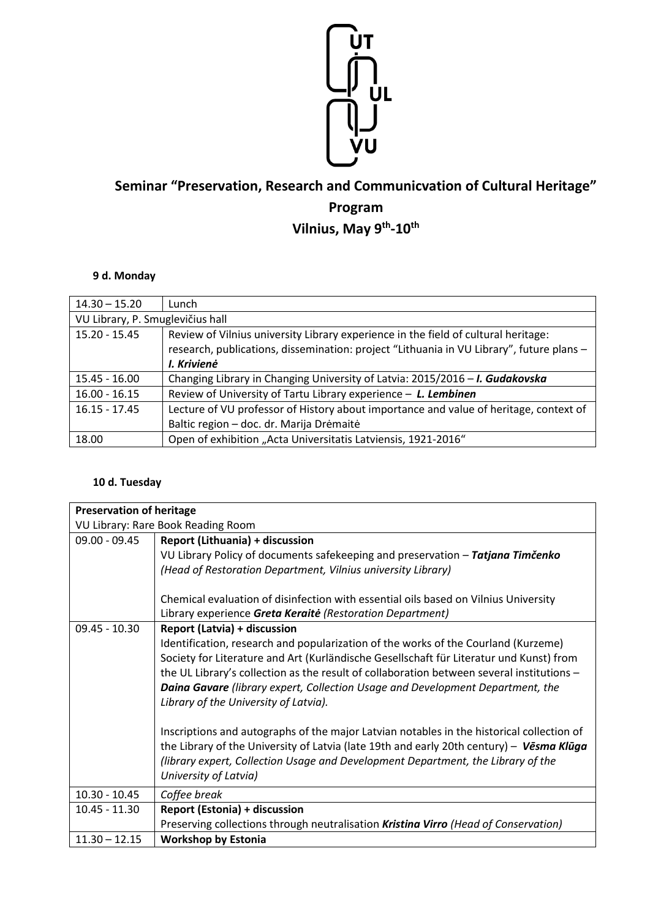

## **Seminar "Preservation, Research and Communicvation of Cultural Heritage" Program Vilnius, May 9th -10th**

## **9 d. Monday**

| $14.30 - 15.20$                  | Lunch                                                                                    |  |
|----------------------------------|------------------------------------------------------------------------------------------|--|
| VU Library, P. Smuglevičius hall |                                                                                          |  |
| $15.20 - 15.45$                  | Review of Vilnius university Library experience in the field of cultural heritage:       |  |
|                                  | research, publications, dissemination: project "Lithuania in VU Library", future plans - |  |
|                                  | I. Krivienė                                                                              |  |
| $15.45 - 16.00$                  | Changing Library in Changing University of Latvia: 2015/2016 - I. Gudakovska             |  |
| $16.00 - 16.15$                  | Review of University of Tartu Library experience - L. Lembinen                           |  |
| $16.15 - 17.45$                  | Lecture of VU professor of History about importance and value of heritage, context of    |  |
|                                  | Baltic region - doc. dr. Marija Drėmaitė                                                 |  |
| 18.00                            | Open of exhibition "Acta Universitatis Latviensis, 1921-2016"                            |  |

## **10 d. Tuesday**

| <b>Preservation of heritage</b>    |                                                                                           |  |
|------------------------------------|-------------------------------------------------------------------------------------------|--|
| VU Library: Rare Book Reading Room |                                                                                           |  |
| $09.00 - 09.45$                    | Report (Lithuania) + discussion                                                           |  |
|                                    | VU Library Policy of documents safekeeping and preservation - Tatjana Timčenko            |  |
|                                    | (Head of Restoration Department, Vilnius university Library)                              |  |
|                                    |                                                                                           |  |
|                                    | Chemical evaluation of disinfection with essential oils based on Vilnius University       |  |
|                                    | Library experience Greta Keraité (Restoration Department)                                 |  |
| $09.45 - 10.30$                    | <b>Report (Latvia) + discussion</b>                                                       |  |
|                                    | Identification, research and popularization of the works of the Courland (Kurzeme)        |  |
|                                    | Society for Literature and Art (Kurländische Gesellschaft für Literatur und Kunst) from   |  |
|                                    | the UL Library's collection as the result of collaboration between several institutions - |  |
|                                    | <b>Daina Gavare</b> (library expert, Collection Usage and Development Department, the     |  |
|                                    | Library of the University of Latvia).                                                     |  |
|                                    |                                                                                           |  |
|                                    | Inscriptions and autographs of the major Latvian notables in the historical collection of |  |
|                                    | the Library of the University of Latvia (late 19th and early 20th century) - Vesma Kluga  |  |
|                                    | (library expert, Collection Usage and Development Department, the Library of the          |  |
|                                    | University of Latvia)                                                                     |  |
| $10.30 - 10.45$                    | Coffee break                                                                              |  |
| $10.45 - 11.30$                    | <b>Report (Estonia) + discussion</b>                                                      |  |
|                                    | Preserving collections through neutralisation Kristina Virro (Head of Conservation)       |  |
| $11.30 - 12.15$                    | <b>Workshop by Estonia</b>                                                                |  |